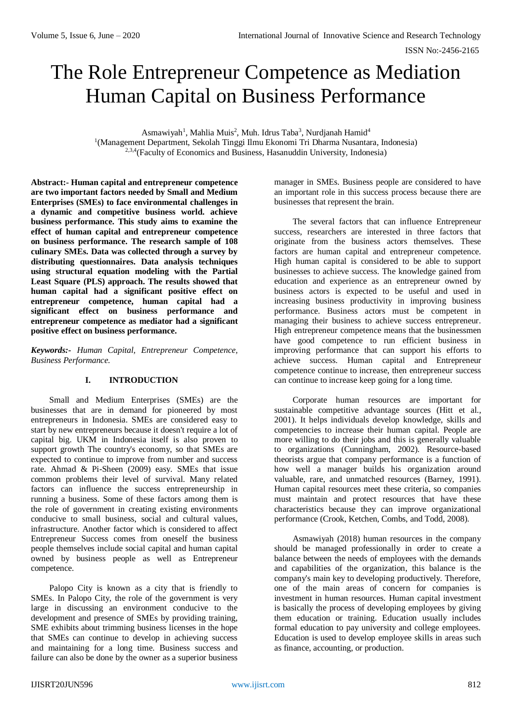# The Role Entrepreneur Competence as Mediation Human Capital on Business Performance

Asmawiyah<sup>1</sup>, Mahlia Muis<sup>2</sup>, Muh. Idrus Taba<sup>3</sup>, Nurdjanah Hamid<sup>4</sup> <sup>1</sup>(Management Department, Sekolah Tinggi Ilmu Ekonomi Tri Dharma Nusantara, Indonesia)  $2,3,4$  (Faculty of Economics and Business, Hasanuddin University, Indonesia)

**Abstract:- Human capital and entrepreneur competence are two important factors needed by Small and Medium Enterprises (SMEs) to face environmental challenges in a dynamic and competitive business world. achieve business performance. This study aims to examine the effect of human capital and entrepreneur competence on business performance. The research sample of 108 culinary SMEs. Data was collected through a survey by distributing questionnaires. Data analysis techniques using structural equation modeling with the Partial Least Square (PLS) approach. The results showed that human capital had a significant positive effect on entrepreneur competence, human capital had a significant effect on business performance and entrepreneur competence as mediator had a significant positive effect on business performance.**

*Keywords:- Human Capital, Entrepreneur Competence, Business Performance.*

## **I. INTRODUCTION**

Small and Medium Enterprises (SMEs) are the businesses that are in demand for pioneered by most entrepreneurs in Indonesia. SMEs are considered easy to start by new entrepreneurs because it doesn't require a lot of capital big. UKM in Indonesia itself is also proven to support growth The country's economy, so that SMEs are expected to continue to improve from number and success rate. Ahmad & Pi-Sheen (2009) easy. SMEs that issue common problems their level of survival. Many related factors can influence the success entrepreneurship in running a business. Some of these factors among them is the role of government in creating existing environments conducive to small business, social and cultural values, infrastructure. Another factor which is considered to affect Entrepreneur Success comes from oneself the business people themselves include social capital and human capital owned by business people as well as Entrepreneur competence.

Palopo City is known as a city that is friendly to SMEs. In Palopo City, the role of the government is very large in discussing an environment conducive to the development and presence of SMEs by providing training, SME exhibits about trimming business licenses in the hope that SMEs can continue to develop in achieving success and maintaining for a long time. Business success and failure can also be done by the owner as a superior business

manager in SMEs. Business people are considered to have an important role in this success process because there are businesses that represent the brain.

The several factors that can influence Entrepreneur success, researchers are interested in three factors that originate from the business actors themselves. These factors are human capital and entrepreneur competence. High human capital is considered to be able to support businesses to achieve success. The knowledge gained from education and experience as an entrepreneur owned by business actors is expected to be useful and used in increasing business productivity in improving business performance. Business actors must be competent in managing their business to achieve success entrepreneur. High entrepreneur competence means that the businessmen have good competence to run efficient business in improving performance that can support his efforts to achieve success. Human capital and Entrepreneur competence continue to increase, then entrepreneur success can continue to increase keep going for a long time.

Corporate human resources are important for sustainable competitive advantage sources (Hitt et al., 2001). It helps individuals develop knowledge, skills and competencies to increase their human capital. People are more willing to do their jobs and this is generally valuable to organizations (Cunningham, 2002). Resource-based theorists argue that company performance is a function of how well a manager builds his organization around valuable, rare, and unmatched resources (Barney, 1991). Human capital resources meet these criteria, so companies must maintain and protect resources that have these characteristics because they can improve organizational performance (Crook, Ketchen, Combs, and Todd, 2008).

Asmawiyah (2018) human resources in the company should be managed professionally in order to create a balance between the needs of employees with the demands and capabilities of the organization, this balance is the company's main key to developing productively. Therefore, one of the main areas of concern for companies is investment in human resources. Human capital investment is basically the process of developing employees by giving them education or training. Education usually includes formal education to pay university and college employees. Education is used to develop employee skills in areas such as finance, accounting, or production.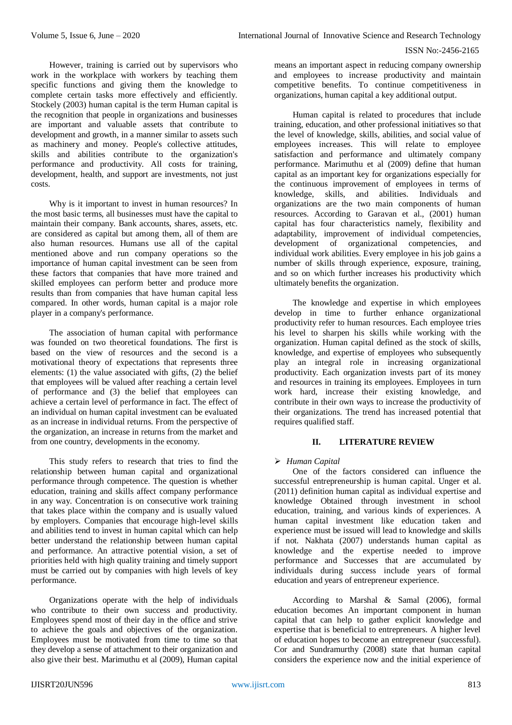However, training is carried out by supervisors who work in the workplace with workers by teaching them specific functions and giving them the knowledge to complete certain tasks more effectively and efficiently. Stockely (2003) human capital is the term Human capital is the recognition that people in organizations and businesses are important and valuable assets that contribute to development and growth, in a manner similar to assets such as machinery and money. People's collective attitudes, skills and abilities contribute to the organization's performance and productivity. All costs for training, development, health, and support are investments, not just costs.

Why is it important to invest in human resources? In the most basic terms, all businesses must have the capital to maintain their company. Bank accounts, shares, assets, etc. are considered as capital but among them, all of them are also human resources. Humans use all of the capital mentioned above and run company operations so the importance of human capital investment can be seen from these factors that companies that have more trained and skilled employees can perform better and produce more results than from companies that have human capital less compared. In other words, human capital is a major role player in a company's performance.

The association of human capital with performance was founded on two theoretical foundations. The first is based on the view of resources and the second is a motivational theory of expectations that represents three elements: (1) the value associated with gifts, (2) the belief that employees will be valued after reaching a certain level of performance and (3) the belief that employees can achieve a certain level of performance in fact. The effect of an individual on human capital investment can be evaluated as an increase in individual returns. From the perspective of the organization, an increase in returns from the market and from one country, developments in the economy.

This study refers to research that tries to find the relationship between human capital and organizational performance through competence. The question is whether education, training and skills affect company performance in any way. Concentration is on consecutive work training that takes place within the company and is usually valued by employers. Companies that encourage high-level skills and abilities tend to invest in human capital which can help better understand the relationship between human capital and performance. An attractive potential vision, a set of priorities held with high quality training and timely support must be carried out by companies with high levels of key performance.

Organizations operate with the help of individuals who contribute to their own success and productivity. Employees spend most of their day in the office and strive to achieve the goals and objectives of the organization. Employees must be motivated from time to time so that they develop a sense of attachment to their organization and also give their best. Marimuthu et al (2009), Human capital means an important aspect in reducing company ownership and employees to increase productivity and maintain competitive benefits. To continue competitiveness in organizations, human capital a key additional output.

Human capital is related to procedures that include training, education, and other professional initiatives so that the level of knowledge, skills, abilities, and social value of employees increases. This will relate to employee satisfaction and performance and ultimately company performance. Marimuthu et al (2009) define that human capital as an important key for organizations especially for the continuous improvement of employees in terms of knowledge, skills, and abilities. Individuals and organizations are the two main components of human resources. According to Garavan et al., (2001) human capital has four characteristics namely, flexibility and adaptability, improvement of individual competencies, development of organizational competencies, and individual work abilities. Every employee in his job gains a number of skills through experience, exposure, training, and so on which further increases his productivity which ultimately benefits the organization.

The knowledge and expertise in which employees develop in time to further enhance organizational productivity refer to human resources. Each employee tries his level to sharpen his skills while working with the organization. Human capital defined as the stock of skills, knowledge, and expertise of employees who subsequently play an integral role in increasing organizational productivity. Each organization invests part of its money and resources in training its employees. Employees in turn work hard, increase their existing knowledge, and contribute in their own ways to increase the productivity of their organizations. The trend has increased potential that requires qualified staff.

# **II. LITERATURE REVIEW**

# *Human Capital*

One of the factors considered can influence the successful entrepreneurship is human capital. Unger et al. (2011) definition human capital as individual expertise and knowledge Obtained through investment in school education, training, and various kinds of experiences. A human capital investment like education taken and experience must be issued will lead to knowledge and skills if not. Nakhata (2007) understands human capital as knowledge and the expertise needed to improve performance and Successes that are accumulated by individuals during success include years of formal education and years of entrepreneur experience.

According to Marshal & Samal (2006), formal education becomes An important component in human capital that can help to gather explicit knowledge and expertise that is beneficial to entrepreneurs. A higher level of education hopes to become an entrepreneur (successful). Cor and Sundramurthy (2008) state that human capital considers the experience now and the initial experience of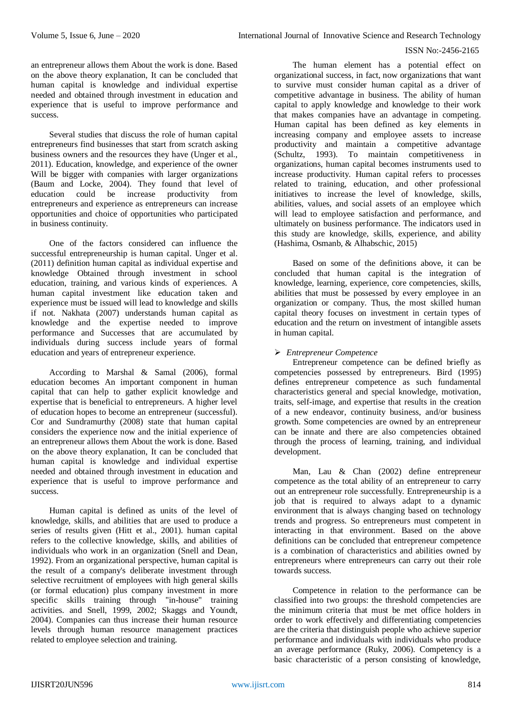an entrepreneur allows them About the work is done. Based on the above theory explanation, It can be concluded that human capital is knowledge and individual expertise needed and obtained through investment in education and experience that is useful to improve performance and success.

Several studies that discuss the role of human capital entrepreneurs find businesses that start from scratch asking business owners and the resources they have (Unger et al., 2011). Education, knowledge, and experience of the owner Will be bigger with companies with larger organizations (Baum and Locke, 2004). They found that level of education could be increase productivity from entrepreneurs and experience as entrepreneurs can increase opportunities and choice of opportunities who participated in business continuity.

One of the factors considered can influence the successful entrepreneurship is human capital. Unger et al. (2011) definition human capital as individual expertise and knowledge Obtained through investment in school education, training, and various kinds of experiences. A human capital investment like education taken and experience must be issued will lead to knowledge and skills if not. Nakhata (2007) understands human capital as knowledge and the expertise needed to improve performance and Successes that are accumulated by individuals during success include years of formal education and years of entrepreneur experience.

According to Marshal & Samal (2006), formal education becomes An important component in human capital that can help to gather explicit knowledge and expertise that is beneficial to entrepreneurs. A higher level of education hopes to become an entrepreneur (successful). Cor and Sundramurthy (2008) state that human capital considers the experience now and the initial experience of an entrepreneur allows them About the work is done. Based on the above theory explanation, It can be concluded that human capital is knowledge and individual expertise needed and obtained through investment in education and experience that is useful to improve performance and success.

Human capital is defined as units of the level of knowledge, skills, and abilities that are used to produce a series of results given (Hitt et al., 2001). human capital refers to the collective knowledge, skills, and abilities of individuals who work in an organization (Snell and Dean, 1992). From an organizational perspective, human capital is the result of a company's deliberate investment through selective recruitment of employees with high general skills (or formal education) plus company investment in more specific skills training through "in-house" training activities. and Snell, 1999, 2002; Skaggs and Youndt, 2004). Companies can thus increase their human resource levels through human resource management practices related to employee selection and training.

The human element has a potential effect on organizational success, in fact, now organizations that want to survive must consider human capital as a driver of competitive advantage in business. The ability of human capital to apply knowledge and knowledge to their work that makes companies have an advantage in competing. Human capital has been defined as key elements in increasing company and employee assets to increase productivity and maintain a competitive advantage (Schultz, 1993). To maintain competitiveness in organizations, human capital becomes instruments used to increase productivity. Human capital refers to processes related to training, education, and other professional initiatives to increase the level of knowledge, skills, abilities, values, and social assets of an employee which will lead to employee satisfaction and performance, and ultimately on business performance. The indicators used in this study are knowledge, skills, experience, and ability (Hashima, Osmanb, & Alhabschic, 2015)

Based on some of the definitions above, it can be concluded that human capital is the integration of knowledge, learning, experience, core competencies, skills, abilities that must be possessed by every employee in an organization or company. Thus, the most skilled human capital theory focuses on investment in certain types of education and the return on investment of intangible assets in human capital.

# *Entrepreneur Competence*

Entrepreneur competence can be defined briefly as competencies possessed by entrepreneurs. Bird (1995) defines entrepreneur competence as such fundamental characteristics general and special knowledge, motivation, traits, self-image, and expertise that results in the creation of a new endeavor, continuity business, and/or business growth. Some competencies are owned by an entrepreneur can be innate and there are also competencies obtained through the process of learning, training, and individual development.

Man, Lau & Chan (2002) define entrepreneur competence as the total ability of an entrepreneur to carry out an entrepreneur role successfully. Entrepreneurship is a job that is required to always adapt to a dynamic environment that is always changing based on technology trends and progress. So entrepreneurs must competent in interacting in that environment. Based on the above definitions can be concluded that entrepreneur competence is a combination of characteristics and abilities owned by entrepreneurs where entrepreneurs can carry out their role towards success.

Competence in relation to the performance can be classified into two groups: the threshold competencies are the minimum criteria that must be met office holders in order to work effectively and differentiating competencies are the criteria that distinguish people who achieve superior performance and individuals with individuals who produce an average performance (Ruky, 2006). Competency is a basic characteristic of a person consisting of knowledge,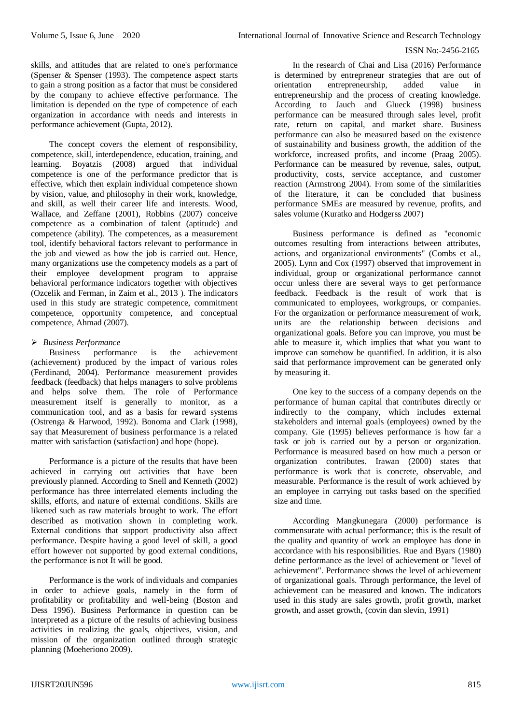skills, and attitudes that are related to one's performance (Spenser & Spenser (1993). The competence aspect starts to gain a strong position as a factor that must be considered by the company to achieve effective performance. The limitation is depended on the type of competence of each organization in accordance with needs and interests in performance achievement (Gupta, 2012).

The concept covers the element of responsibility, competence, skill, interdependence, education, training, and learning. Boyatzis (2008) argued that individual competence is one of the performance predictor that is effective, which then explain individual competence shown by vision, value, and philosophy in their work, knowledge, and skill, as well their career life and interests. Wood, Wallace, and Zeffane (2001), Robbins (2007) conceive competence as a combination of talent (aptitude) and competence (ability). The competences, as a measurement tool, identify behavioral factors relevant to performance in the job and viewed as how the job is carried out. Hence, many organizations use the competency models as a part of their employee development program to appraise behavioral performance indicators together with objectives (Ozcelik and Ferman, in Zaim et al., 2013 ). The indicators used in this study are strategic competence, commitment competence, opportunity competence, and conceptual competence, Ahmad (2007).

# *Business Performance*

Business performance is the achievement (achievement) produced by the impact of various roles (Ferdinand, 2004). Performance measurement provides feedback (feedback) that helps managers to solve problems and helps solve them. The role of Performance measurement itself is generally to monitor, as a communication tool, and as a basis for reward systems (Ostrenga & Harwood, 1992). Bonoma and Clark (1998), say that Measurement of business performance is a related matter with satisfaction (satisfaction) and hope (hope).

Performance is a picture of the results that have been achieved in carrying out activities that have been previously planned. According to Snell and Kenneth (2002) performance has three interrelated elements including the skills, efforts, and nature of external conditions. Skills are likened such as raw materials brought to work. The effort described as motivation shown in completing work. External conditions that support productivity also affect performance. Despite having a good level of skill, a good effort however not supported by good external conditions, the performance is not It will be good.

Performance is the work of individuals and companies in order to achieve goals, namely in the form of profitability or profitability and well-being (Boston and Dess 1996). Business Performance in question can be interpreted as a picture of the results of achieving business activities in realizing the goals, objectives, vision, and mission of the organization outlined through strategic planning (Moeheriono 2009).

In the research of Chai and Lisa (2016) Performance is determined by entrepreneur strategies that are out of orientation entrepreneurship, added value in entrepreneurship and the process of creating knowledge. According to Jauch and Glueck (1998) business performance can be measured through sales level, profit rate, return on capital, and market share. Business performance can also be measured based on the existence of sustainability and business growth, the addition of the workforce, increased profits, and income (Praag 2005). Performance can be measured by revenue, sales, output, productivity, costs, service acceptance, and customer reaction (Armstrong 2004). From some of the similarities of the literature, it can be concluded that business performance SMEs are measured by revenue, profits, and sales volume (Kuratko and Hodgerss 2007)

Business performance is defined as "economic outcomes resulting from interactions between attributes, actions, and organizational environments" (Combs et al., 2005). Lynn and Cox (1997) observed that improvement in individual, group or organizational performance cannot occur unless there are several ways to get performance feedback. Feedback is the result of work that is communicated to employees, workgroups, or companies. For the organization or performance measurement of work, units are the relationship between decisions and organizational goals. Before you can improve, you must be able to measure it, which implies that what you want to improve can somehow be quantified. In addition, it is also said that performance improvement can be generated only by measuring it.

One key to the success of a company depends on the performance of human capital that contributes directly or indirectly to the company, which includes external stakeholders and internal goals (employees) owned by the company. Gie (1995) believes performance is how far a task or job is carried out by a person or organization. Performance is measured based on how much a person or organization contributes. Irawan (2000) states that performance is work that is concrete, observable, and measurable. Performance is the result of work achieved by an employee in carrying out tasks based on the specified size and time.

According Mangkunegara (2000) performance is commensurate with actual performance; this is the result of the quality and quantity of work an employee has done in accordance with his responsibilities. Rue and Byars (1980) define performance as the level of achievement or "level of achievement". Performance shows the level of achievement of organizational goals. Through performance, the level of achievement can be measured and known. The indicators used in this study are sales growth, profit growth, market growth, and asset growth, (covin dan slevin, 1991)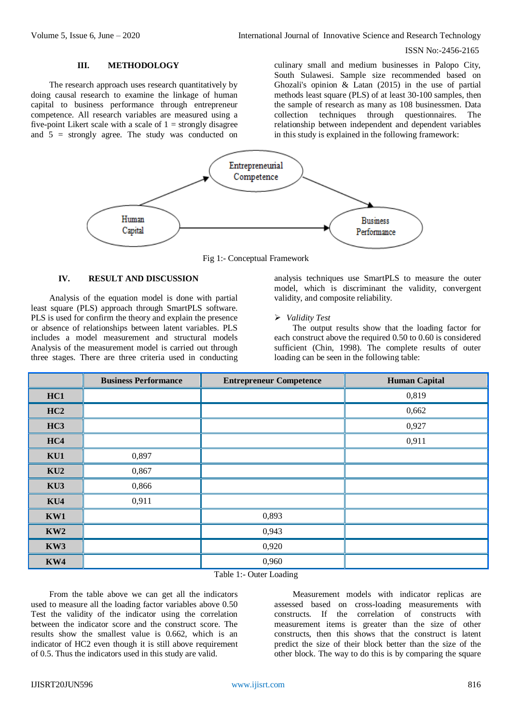#### **III. METHODOLOGY**

The research approach uses research quantitatively by doing causal research to examine the linkage of human capital to business performance through entrepreneur competence. All research variables are measured using a five-point Likert scale with a scale of  $1 =$  strongly disagree and 5 = strongly agree. The study was conducted on

culinary small and medium businesses in Palopo City, South Sulawesi. Sample size recommended based on Ghozali's opinion & Latan (2015) in the use of partial methods least square (PLS) of at least 30-100 samples, then the sample of research as many as 108 businessmen. Data collection techniques through questionnaires. The relationship between independent and dependent variables in this study is explained in the following framework:



Fig 1:- Conceptual Framework

# **IV. RESULT AND DISCUSSION**

Analysis of the equation model is done with partial least square (PLS) approach through SmartPLS software. PLS is used for confirm the theory and explain the presence or absence of relationships between latent variables. PLS includes a model measurement and structural models Analysis of the measurement model is carried out through three stages. There are three criteria used in conducting analysis techniques use SmartPLS to measure the outer model, which is discriminant the validity, convergent validity, and composite reliability.

## *Validity Test*

The output results show that the loading factor for each construct above the required 0.50 to 0.60 is considered sufficient (Chin, 1998). The complete results of outer loading can be seen in the following table:

|                 | <b>Business Performance</b> | <b>Entrepreneur Competence</b> | <b>Human Capital</b> |
|-----------------|-----------------------------|--------------------------------|----------------------|
| HC1             |                             |                                | 0,819                |
| HC2             |                             |                                | 0,662                |
| HC <sub>3</sub> |                             |                                | 0,927                |
| HC4             |                             |                                | 0,911                |
| KU1             | 0,897                       |                                |                      |
| KU2             | 0,867                       |                                |                      |
| KU3             | 0,866                       |                                |                      |
| KU4             | 0,911                       |                                |                      |
| KW1             |                             | 0,893                          |                      |
| KW2             |                             | 0,943                          |                      |
| KW3             |                             | 0,920                          |                      |
| KW4             |                             | 0,960                          |                      |

Table 1:- Outer Loading

From the table above we can get all the indicators used to measure all the loading factor variables above 0.50 Test the validity of the indicator using the correlation between the indicator score and the construct score. The results show the smallest value is 0.662, which is an indicator of HC2 even though it is still above requirement of 0.5. Thus the indicators used in this study are valid.

Measurement models with indicator replicas are assessed based on cross-loading measurements with constructs. If the correlation of constructs with measurement items is greater than the size of other constructs, then this shows that the construct is latent predict the size of their block better than the size of the other block. The way to do this is by comparing the square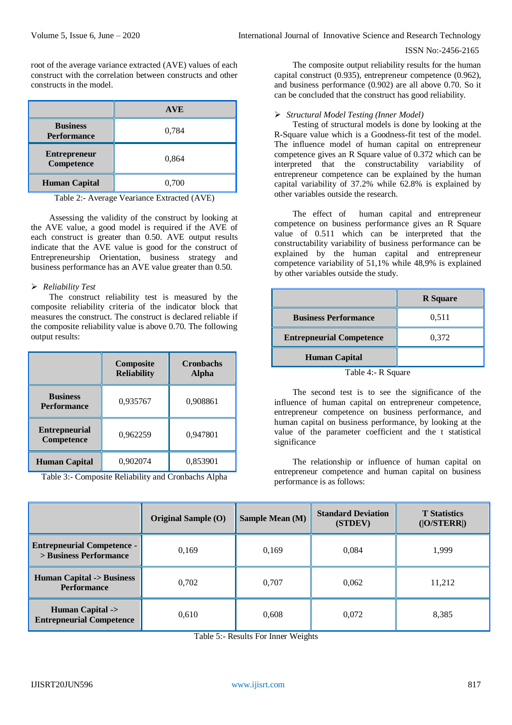root of the average variance extracted (AVE) values of each construct with the correlation between constructs and other constructs in the model.

|                                       | <b>AVE</b> |  |
|---------------------------------------|------------|--|
| <b>Business</b><br><b>Performance</b> | 0,784      |  |
| <b>Entrepreneur</b><br>Competence     | 0,864      |  |
| <b>Human Capital</b>                  | 0,700      |  |

Table 2:- Average Veariance Extracted (AVE)

Assessing the validity of the construct by looking at the AVE value, a good model is required if the AVE of each construct is greater than 0.50. AVE output results indicate that the AVE value is good for the construct of Entrepreneurship Orientation, business strategy and business performance has an AVE value greater than 0.50.

# *Reliability Test*

The construct reliability test is measured by the composite reliability criteria of the indicator block that measures the construct. The construct is declared reliable if the composite reliability value is above 0.70. The following output results:

|                                           | Composite<br><b>Reliability</b> | <b>Cronbachs</b><br>Alpha |  |
|-------------------------------------------|---------------------------------|---------------------------|--|
| <b>Business</b><br><b>Performance</b>     | 0,935767                        | 0,908861                  |  |
| <b>Entrepneurial</b><br><b>Competence</b> | 0,962259                        | 0,947801                  |  |
| <b>Human Capital</b>                      | 0,902074                        | 0,853901                  |  |

Table 3:- Composite Reliability and Cronbachs Alpha

The composite output reliability results for the human capital construct (0.935), entrepreneur competence (0.962), and business performance (0.902) are all above 0.70. So it can be concluded that the construct has good reliability.

## *Structural Model Testing (Inner Model)*

Testing of structural models is done by looking at the R-Square value which is a Goodness-fit test of the model. The influence model of human capital on entrepreneur competence gives an R Square value of 0.372 which can be interpreted that the constructability variability of entrepreneur competence can be explained by the human capital variability of 37.2% while 62.8% is explained by other variables outside the research.

The effect of human capital and entrepreneur competence on business performance gives an R Square value of 0.511 which can be interpreted that the constructability variability of business performance can be explained by the human capital and entrepreneur competence variability of 51,1% while 48,9% is explained by other variables outside the study.

|                                 | <b>R</b> Square |
|---------------------------------|-----------------|
| <b>Business Performance</b>     | 0,511           |
| <b>Entrepneurial Competence</b> | 0,372           |
| <b>Human Capital</b>            |                 |

Table 4:- R Square

The second test is to see the significance of the influence of human capital on entrepreneur competence, entrepreneur competence on business performance, and human capital on business performance, by looking at the value of the parameter coefficient and the t statistical significance

The relationship or influence of human capital on entrepreneur competence and human capital on business performance is as follows:

|                                                               | Original Sample (O) | <b>Sample Mean (M)</b> | <b>Standard Deviation</b><br>(STDEV) | <b>T</b> Statistics<br>( O/STERR ) |
|---------------------------------------------------------------|---------------------|------------------------|--------------------------------------|------------------------------------|
| <b>Entrepneurial Competence -</b><br>> Business Performance   | 0,169               | 0,169                  | 0.084                                | 1.999                              |
| <b>Human Capital -&gt; Business</b><br><b>Performance</b>     | 0,702               | 0,707                  | 0,062                                | 11,212                             |
| <b>Human Capital -&gt;</b><br><b>Entrepneurial Competence</b> | 0,610               | 0,608                  | 0,072                                | 8,385                              |

Table 5:- Results For Inner Weights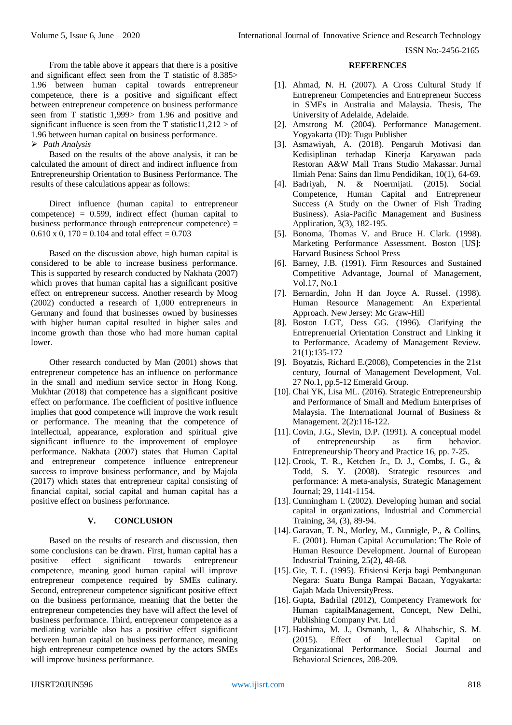From the table above it appears that there is a positive and significant effect seen from the T statistic of 8.385> 1.96 between human capital towards entrepreneur competence, there is a positive and significant effect between entrepreneur competence on business performance seen from T statistic 1,999> from 1.96 and positive and significant influence is seen from the T statistic $11,212 >$  of 1.96 between human capital on business performance. *Path Analysis*

Based on the results of the above analysis, it can be calculated the amount of direct and indirect influence from Entrepreneurship Orientation to Business Performance. The results of these calculations appear as follows:

Direct influence (human capital to entrepreneur competence) = 0.599, indirect effect (human capital to business performance through entrepreneur competence) =  $0.610 \times 0$ ,  $170 = 0.104$  and total effect = 0.703

Based on the discussion above, high human capital is considered to be able to increase business performance. This is supported by research conducted by Nakhata (2007) which proves that human capital has a significant positive effect on entrepreneur success. Another research by Moog (2002) conducted a research of 1,000 entrepreneurs in Germany and found that businesses owned by businesses with higher human capital resulted in higher sales and income growth than those who had more human capital lower.

Other research conducted by Man (2001) shows that entrepreneur competence has an influence on performance in the small and medium service sector in Hong Kong. Mukhtar (2018) that competence has a significant positive effect on performance. The coefficient of positive influence implies that good competence will improve the work result or performance. The meaning that the competence of intellectual, appearance, exploration and spiritual give significant influence to the improvement of employee performance. Nakhata (2007) states that Human Capital and entrepreneur competence influence entrepreneur success to improve business performance, and by Majola (2017) which states that entrepreneur capital consisting of financial capital, social capital and human capital has a positive effect on business performance.

# **V. CONCLUSION**

Based on the results of research and discussion, then some conclusions can be drawn. First, human capital has a positive effect significant towards entrepreneur competence, meaning good human capital will improve entrepreneur competence required by SMEs culinary. Second, entrepreneur competence significant positive effect on the business performance, meaning that the better the entrepreneur competencies they have will affect the level of business performance. Third, entrepreneur competence as a mediating variable also has a positive effect significant between human capital on business performance, meaning high entrepreneur competence owned by the actors SMEs will improve business performance.

#### **REFERENCES**

- [1]. Ahmad, N. H. (2007). A Cross Cultural Study if Entrepreneur Competencies and Entrepreneur Success in SMEs in Australia and Malaysia. Thesis, The University of Adelaide, Adelaide.
- [2]. Amstrong M. (2004). Performance Management. Yogyakarta (ID): Tugu Publisher
- [3]. Asmawiyah, A. (2018). Pengaruh Motivasi dan Kedisiplinan terhadap Kinerja Karyawan pada Restoran A&W Mall Trans Studio Makassar. Jurnal Ilmiah Pena: Sains dan Ilmu Pendidikan, 10(1), 64-69.
- [4]. Badriyah, N. & Noermijati. (2015). Social Competence, Human Capital and Entrepreneur Success (A Study on the Owner of Fish Trading Business). Asia-Pacific Management and Business Application, 3(3), 182-195.
- [5]. Bonoma, Thomas V. and Bruce H. Clark. (1998). Marketing Performance Assessment. Boston [US]: Harvard Business School Press
- [6]. Barney, J.B. (1991). Firm Resources and Sustained Competitive Advantage, Journal of Management, Vol.17, No.1
- [7]. Bernardin, John H dan Joyce A. Russel. (1998). Human Resource Management: An Experiental Approach. New Jersey: Mc Graw-Hill
- [8]. Boston LGT, Dess GG. (1996). Clarifying the Entreprenuerial Orientation Construct and Linking it to Performance. Academy of Management Review. 21(1):135-172
- [9]. Boyatzis, Richard E.(2008), Competencies in the 21st century, Journal of Management Development, Vol. 27 No.1, pp.5-12 Emerald Group.
- [10]. Chai YK, Lisa ML. (2016). Strategic Entrepreneurship and Performance of Small and Medium Enterprises of Malaysia. The International Journal of Business & Management. 2(2):116-122.
- [11]. Covin, J.G., Slevin, D.P. (1991). A conceptual model of entrepreneurship as firm behavior. Entrepreneurship Theory and Practice 16, pp. 7-25.
- [12]. Crook, T. R., Ketchen Jr., D. J., Combs, J. G., & Todd, S. Y. (2008). Strategic resources and performance: A meta-analysis, Strategic Management Journal; 29, 1141-1154.
- [13]. Cunningham I. (2002). Developing human and social capital in organizations, Industrial and Commercial Training, 34, (3), 89-94.
- [14]. Garavan, T. N., Morley, M., Gunnigle, P., & Collins, E. (2001). Human Capital Accumulation: The Role of Human Resource Development. Journal of European Industrial Training, 25(2), 48-68.
- [15]. Gie, T. L. (1995). Efisiensi Kerja bagi Pembangunan Negara: Suatu Bunga Rampai Bacaan, Yogyakarta: Gajah Mada UniversityPress.
- [16]. Gupta, Badrilal (2012), Competency Framework for Human capitalManagement, Concept, New Delhi, Publishing Company Pvt. Ltd
- [17]. Hashima, M. J., Osmanb, I., & Alhabschic, S. M. (2015). Effect of Intellectual Capital on Organizational Performance. Social Journal and Behavioral Sciences, 208-209.